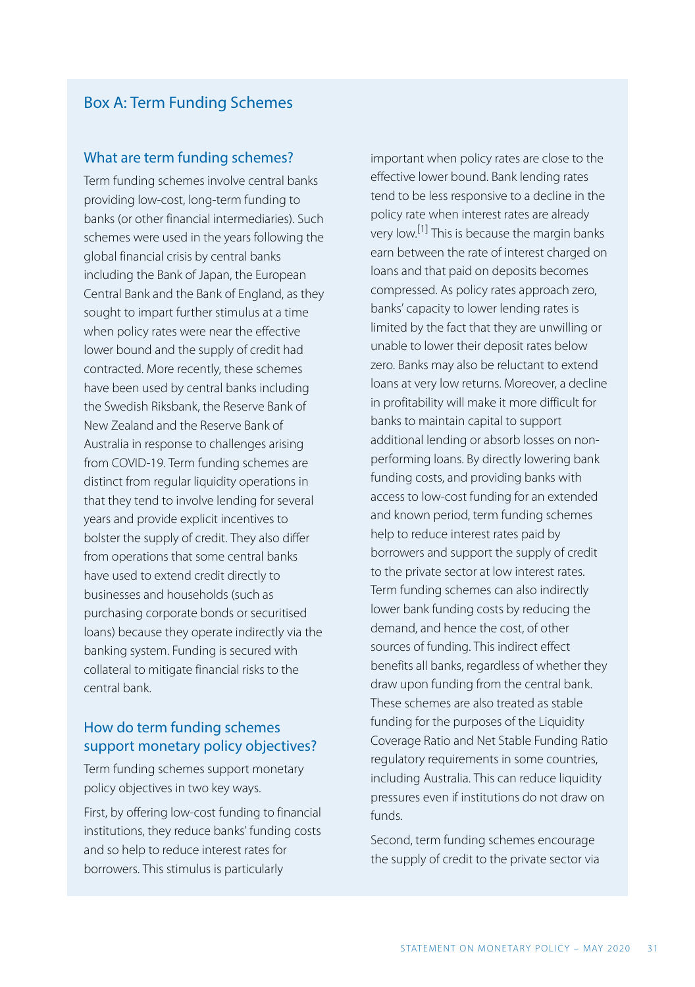## Box A: Term Funding Schemes

#### What are term funding schemes?

Term funding schemes involve central banks providing low-cost, long-term funding to banks (or other financial intermediaries). Such schemes were used in the years following the global financial crisis by central banks including the Bank of Japan, the European Central Bank and the Bank of England, as they sought to impart further stimulus at a time when policy rates were near the effective lower bound and the supply of credit had contracted. More recently, these schemes have been used by central banks including the Swedish Riksbank, the Reserve Bank of New Zealand and the Reserve Bank of Australia in response to challenges arising from COVID-19. Term funding schemes are distinct from regular liquidity operations in that they tend to involve lending for several years and provide explicit incentives to bolster the supply of credit. They also differ from operations that some central banks have used to extend credit directly to businesses and households (such as purchasing corporate bonds or securitised loans) because they operate indirectly via the banking system. Funding is secured with collateral to mitigate financial risks to the central bank.

### How do term funding schemes support monetary policy objectives?

Term funding schemes support monetary policy objectives in two key ways.

First, by offering low-cost funding to financial institutions, they reduce banks' funding costs and so help to reduce interest rates for borrowers. This stimulus is particularly

important when policy rates are close to the effective lower bound. Bank lending rates tend to be less responsive to a decline in the policy rate when interest rates are already very low.<sup>[1]</sup> This is because the margin banks earn between the rate of interest charged on loans and that paid on deposits becomes compressed. As policy rates approach zero, banks' capacity to lower lending rates is limited by the fact that they are unwilling or unable to lower their deposit rates below zero. Banks may also be reluctant to extend loans at very low returns. Moreover, a decline in profitability will make it more difficult for banks to maintain capital to support additional lending or absorb losses on nonperforming loans. By directly lowering bank funding costs, and providing banks with access to low-cost funding for an extended and known period, term funding schemes help to reduce interest rates paid by borrowers and support the supply of credit to the private sector at low interest rates. Term funding schemes can also indirectly lower bank funding costs by reducing the demand, and hence the cost, of other sources of funding. This indirect effect benefits all banks, regardless of whether they draw upon funding from the central bank. These schemes are also treated as stable funding for the purposes of the Liquidity Coverage Ratio and Net Stable Funding Ratio regulatory requirements in some countries, including Australia. This can reduce liquidity pressures even if institutions do not draw on funds.

Second, term funding schemes encourage the supply of credit to the private sector via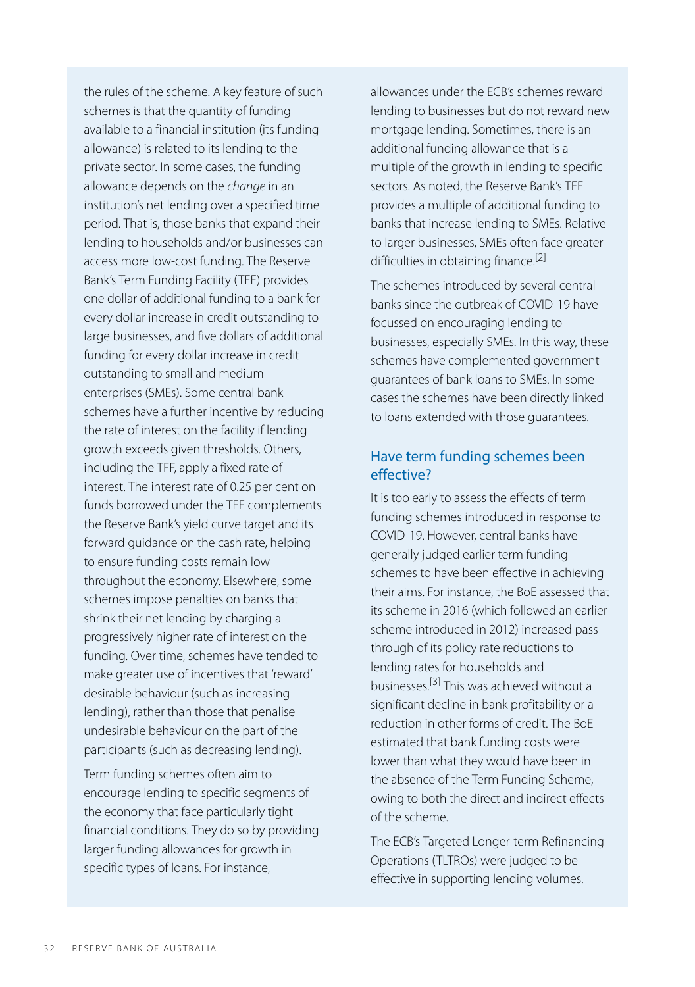the rules of the scheme. A key feature of such schemes is that the quantity of funding available to a financial institution (its funding allowance) is related to its lending to the private sector. In some cases, the funding allowance depends on the *change* in an institution's net lending over a specified time period. That is, those banks that expand their lending to households and/or businesses can access more low-cost funding. The Reserve Bank's Term Funding Facility (TFF) provides one dollar of additional funding to a bank for every dollar increase in credit outstanding to large businesses, and five dollars of additional funding for every dollar increase in credit outstanding to small and medium enterprises (SMEs). Some central bank schemes have a further incentive by reducing the rate of interest on the facility if lending growth exceeds given thresholds. Others, including the TFF, apply a fixed rate of interest. The interest rate of 0.25 per cent on funds borrowed under the TFF complements the Reserve Bank's yield curve target and its forward guidance on the cash rate, helping to ensure funding costs remain low throughout the economy. Elsewhere, some schemes impose penalties on banks that shrink their net lending by charging a progressively higher rate of interest on the funding. Over time, schemes have tended to make greater use of incentives that 'reward' desirable behaviour (such as increasing lending), rather than those that penalise undesirable behaviour on the part of the participants (such as decreasing lending).

Term funding schemes often aim to encourage lending to specific segments of the economy that face particularly tight financial conditions. They do so by providing larger funding allowances for growth in specific types of loans. For instance,

allowances under the ECB's schemes reward lending to businesses but do not reward new mortgage lending. Sometimes, there is an additional funding allowance that is a multiple of the growth in lending to specific sectors. As noted, the Reserve Bank's TFF provides a multiple of additional funding to banks that increase lending to SMEs. Relative to larger businesses, SMEs often face greater difficulties in obtaining finance.<sup>[2]</sup>

The schemes introduced by several central banks since the outbreak of COVID-19 have focussed on encouraging lending to businesses, especially SMEs. In this way, these schemes have complemented government guarantees of bank loans to SMEs. In some cases the schemes have been directly linked to loans extended with those guarantees.

#### Have term funding schemes been effective?

It is too early to assess the effects of term funding schemes introduced in response to COVID-19. However, central banks have generally judged earlier term funding schemes to have been effective in achieving their aims. For instance, the BoE assessed that its scheme in 2016 (which followed an earlier scheme introduced in 2012) increased pass through of its policy rate reductions to lending rates for households and businesses. [3] This was achieved without a significant decline in bank profitability or a reduction in other forms of credit. The BoE estimated that bank funding costs were lower than what they would have been in the absence of the Term Funding Scheme, owing to both the direct and indirect effects of the scheme.

The ECB's Targeted Longer-term Refinancing Operations (TLTROs) were judged to be effective in supporting lending volumes.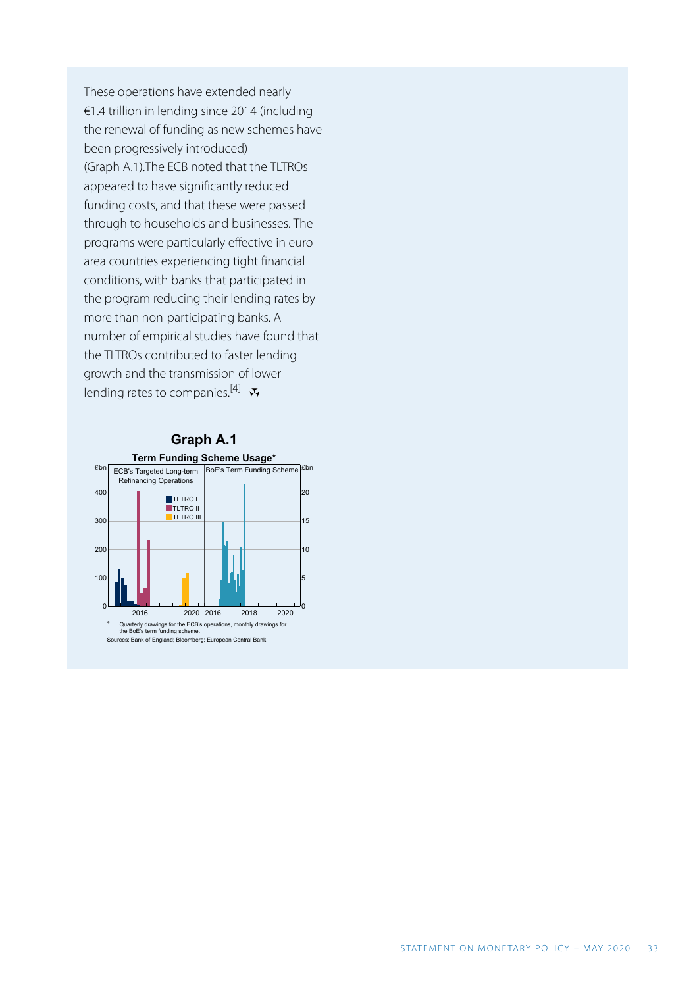These operations have extended nearly €1.4 trillion in lending since 2014 (including the renewal of funding as new schemes have been progressively introduced) (Graph A.1).The ECB noted that the TLTROs appeared to have significantly reduced funding costs, and that these were passed through to households and businesses. The programs were particularly effective in euro area countries experiencing tight financial conditions, with banks that participated in the program reducing their lending rates by more than non-participating banks. A number of empirical studies have found that the TLTROs contributed to faster lending growth and the transmission of lower lending rates to companies.<sup>[4]</sup>

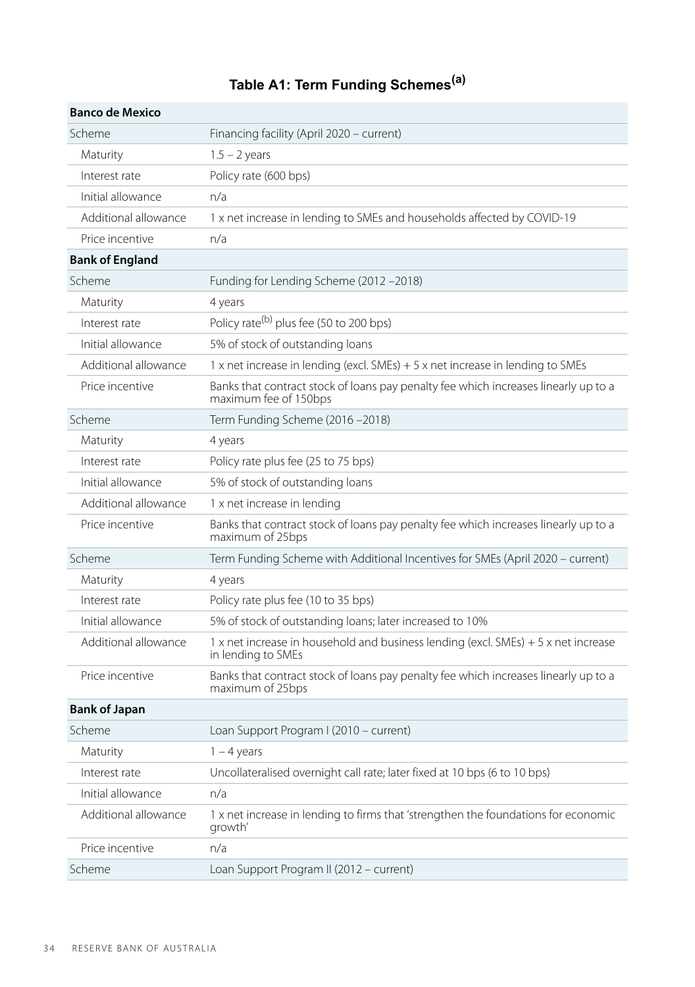# **Table A1: Term Funding Schemes(a)**

| <b>Banco de Mexico</b> |                                                                                                              |
|------------------------|--------------------------------------------------------------------------------------------------------------|
| Scheme                 | Financing facility (April 2020 – current)                                                                    |
| Maturity               | $1.5 - 2$ years                                                                                              |
| Interest rate          | Policy rate (600 bps)                                                                                        |
| Initial allowance      | n/a                                                                                                          |
| Additional allowance   | 1 x net increase in lending to SMEs and households affected by COVID-19                                      |
| Price incentive        | n/a                                                                                                          |
| <b>Bank of England</b> |                                                                                                              |
| Scheme                 | Funding for Lending Scheme (2012-2018)                                                                       |
| Maturity               | 4 years                                                                                                      |
| Interest rate          | Policy rate <sup>(b)</sup> plus fee (50 to 200 bps)                                                          |
| Initial allowance      | 5% of stock of outstanding loans                                                                             |
| Additional allowance   | 1 x net increase in lending (excl. SMEs) $+5x$ net increase in lending to SMEs                               |
| Price incentive        | Banks that contract stock of loans pay penalty fee which increases linearly up to a<br>maximum fee of 150bps |
| Scheme                 | Term Funding Scheme (2016-2018)                                                                              |
| Maturity               | 4 years                                                                                                      |
| Interest rate          | Policy rate plus fee (25 to 75 bps)                                                                          |
| Initial allowance      | 5% of stock of outstanding loans                                                                             |
| Additional allowance   | 1 x net increase in lending                                                                                  |
| Price incentive        | Banks that contract stock of loans pay penalty fee which increases linearly up to a<br>maximum of 25bps      |
| Scheme                 | Term Funding Scheme with Additional Incentives for SMEs (April 2020 - current)                               |
| Maturity               | 4 years                                                                                                      |
| Interest rate          | Policy rate plus fee (10 to 35 bps)                                                                          |
| Initial allowance      | 5% of stock of outstanding loans; later increased to 10%                                                     |
| Additional allowance   | 1 x net increase in household and business lending (excl. SMEs) + 5 x net increase<br>in lending to SMEs     |
| Price incentive        | Banks that contract stock of loans pay penalty fee which increases linearly up to a<br>maximum of 25bps      |
| <b>Bank of Japan</b>   |                                                                                                              |
| Scheme                 | Loan Support Program I (2010 - current)                                                                      |
| Maturity               | $1 - 4$ years                                                                                                |
| Interest rate          | Uncollateralised overnight call rate; later fixed at 10 bps (6 to 10 bps)                                    |
| Initial allowance      | n/a                                                                                                          |
| Additional allowance   | 1 x net increase in lending to firms that 'strengthen the foundations for economic<br>growth'                |
| Price incentive        | n/a                                                                                                          |
| Scheme                 | Loan Support Program II (2012 - current)                                                                     |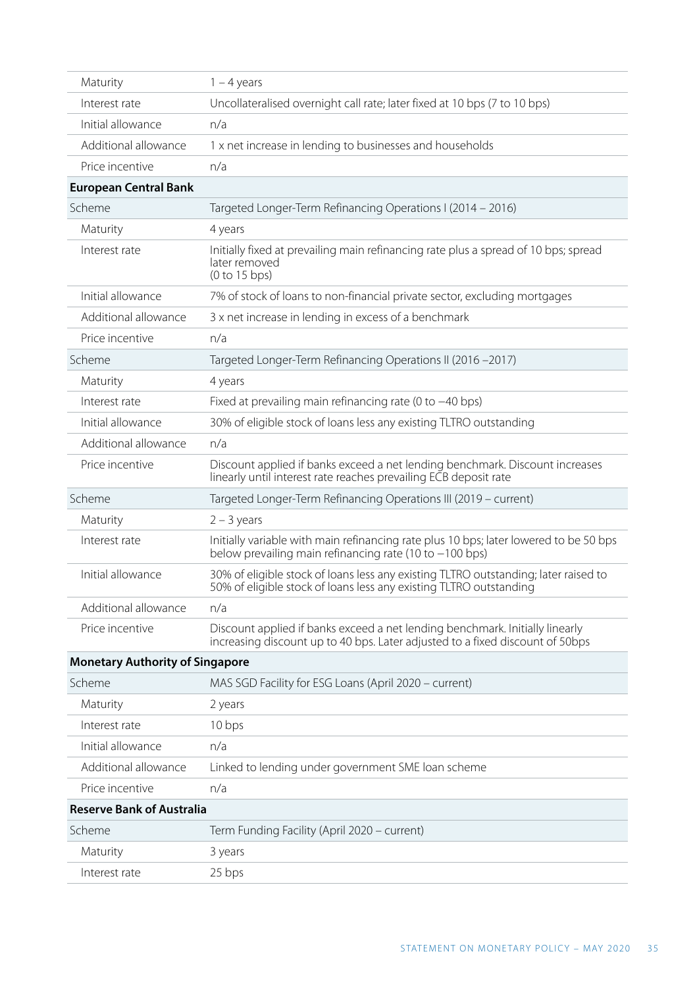| Maturity                               | $1 - 4$ years                                                                                                                                                 |  |
|----------------------------------------|---------------------------------------------------------------------------------------------------------------------------------------------------------------|--|
| Interest rate                          | Uncollateralised overnight call rate; later fixed at 10 bps (7 to 10 bps)                                                                                     |  |
| Initial allowance                      | n/a                                                                                                                                                           |  |
| Additional allowance                   | 1 x net increase in lending to businesses and households                                                                                                      |  |
| Price incentive                        | n/a                                                                                                                                                           |  |
| <b>European Central Bank</b>           |                                                                                                                                                               |  |
| Scheme                                 | Targeted Longer-Term Refinancing Operations I (2014 - 2016)                                                                                                   |  |
| Maturity                               | 4 years                                                                                                                                                       |  |
| Interest rate                          | Initially fixed at prevailing main refinancing rate plus a spread of 10 bps; spread<br>later removed<br>(0 to 15 bps)                                         |  |
| Initial allowance                      | 7% of stock of loans to non-financial private sector, excluding mortgages                                                                                     |  |
| Additional allowance                   | 3 x net increase in lending in excess of a benchmark                                                                                                          |  |
| Price incentive                        | n/a                                                                                                                                                           |  |
| Scheme                                 | Targeted Longer-Term Refinancing Operations II (2016 -2017)                                                                                                   |  |
| Maturity                               | 4 years                                                                                                                                                       |  |
| Interest rate                          | Fixed at prevailing main refinancing rate (0 to $-40$ bps)                                                                                                    |  |
| Initial allowance                      | 30% of eligible stock of loans less any existing TLTRO outstanding                                                                                            |  |
| Additional allowance                   | n/a                                                                                                                                                           |  |
| Price incentive                        | Discount applied if banks exceed a net lending benchmark. Discount increases<br>linearly until interest rate reaches prevailing ECB deposit rate              |  |
| Scheme                                 | Targeted Longer-Term Refinancing Operations III (2019 - current)                                                                                              |  |
| Maturity                               | $2 - 3$ years                                                                                                                                                 |  |
| Interest rate                          | Initially variable with main refinancing rate plus 10 bps; later lowered to be 50 bps<br>below prevailing main refinancing rate (10 to -100 bps)              |  |
| Initial allowance                      | 30% of eligible stock of loans less any existing TLTRO outstanding; later raised to<br>50% of eligible stock of loans less any existing TLTRO outstanding     |  |
| Additional allowance                   | n/a                                                                                                                                                           |  |
| Price incentive                        | Discount applied if banks exceed a net lending benchmark. Initially linearly<br>increasing discount up to 40 bps. Later adjusted to a fixed discount of 50bps |  |
| <b>Monetary Authority of Singapore</b> |                                                                                                                                                               |  |
| Scheme                                 | MAS SGD Facility for ESG Loans (April 2020 – current)                                                                                                         |  |
| Maturity                               | 2 years                                                                                                                                                       |  |
| Interest rate                          | 10 bps                                                                                                                                                        |  |
| Initial allowance                      | n/a                                                                                                                                                           |  |
| Additional allowance                   | Linked to lending under government SME loan scheme                                                                                                            |  |
| Price incentive                        | n/a                                                                                                                                                           |  |
| <b>Reserve Bank of Australia</b>       |                                                                                                                                                               |  |
| Scheme                                 | Term Funding Facility (April 2020 - current)                                                                                                                  |  |
| Maturity                               | 3 years                                                                                                                                                       |  |
| Interest rate                          | 25 bps                                                                                                                                                        |  |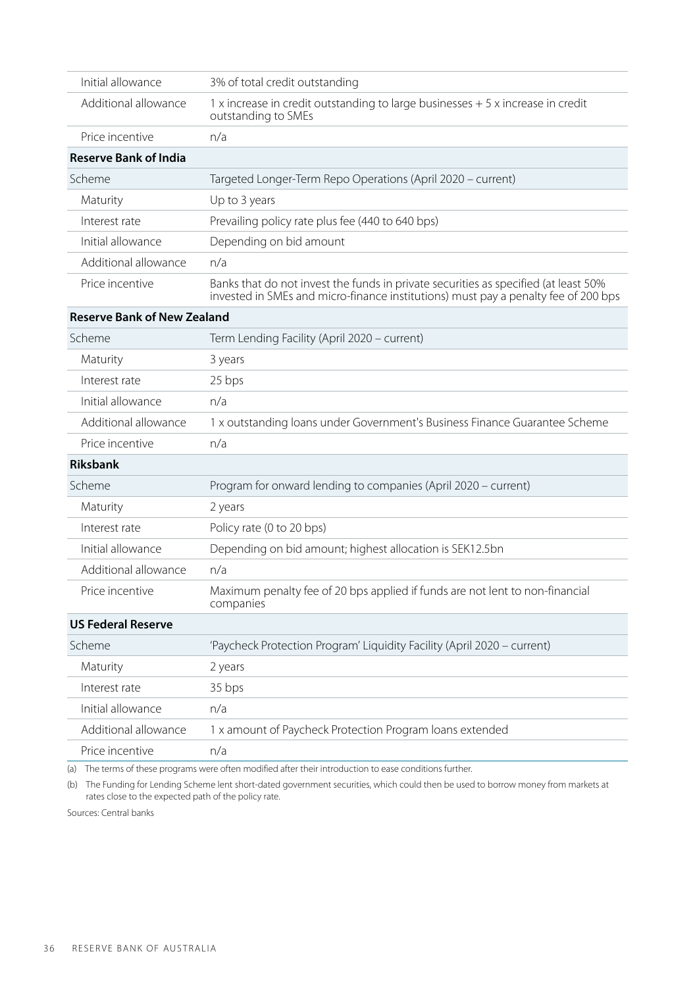| Initial allowance                  | 3% of total credit outstanding                                                                                                                                            |  |
|------------------------------------|---------------------------------------------------------------------------------------------------------------------------------------------------------------------------|--|
| Additional allowance               | 1 x increase in credit outstanding to large businesses + 5 x increase in credit<br>outstanding to SMEs                                                                    |  |
| Price incentive                    | n/a                                                                                                                                                                       |  |
| <b>Reserve Bank of India</b>       |                                                                                                                                                                           |  |
| Scheme                             | Targeted Longer-Term Repo Operations (April 2020 - current)                                                                                                               |  |
| Maturity                           | Up to 3 years                                                                                                                                                             |  |
| Interest rate                      | Prevailing policy rate plus fee (440 to 640 bps)                                                                                                                          |  |
| Initial allowance                  | Depending on bid amount                                                                                                                                                   |  |
| Additional allowance               | n/a                                                                                                                                                                       |  |
| Price incentive                    | Banks that do not invest the funds in private securities as specified (at least 50%<br>invested in SMEs and micro-finance institutions) must pay a penalty fee of 200 bps |  |
| <b>Reserve Bank of New Zealand</b> |                                                                                                                                                                           |  |
| Scheme                             | Term Lending Facility (April 2020 - current)                                                                                                                              |  |
| Maturity                           | 3 years                                                                                                                                                                   |  |
| Interest rate                      | 25 bps                                                                                                                                                                    |  |
| Initial allowance                  | n/a                                                                                                                                                                       |  |
| Additional allowance               | 1 x outstanding loans under Government's Business Finance Guarantee Scheme                                                                                                |  |
| Price incentive                    | n/a                                                                                                                                                                       |  |
| <b>Riksbank</b>                    |                                                                                                                                                                           |  |
| Scheme                             | Program for onward lending to companies (April 2020 - current)                                                                                                            |  |
| Maturity                           | 2 years                                                                                                                                                                   |  |
| Interest rate                      | Policy rate (0 to 20 bps)                                                                                                                                                 |  |
| Initial allowance                  | Depending on bid amount; highest allocation is SEK12.5bn                                                                                                                  |  |
| Additional allowance               | n/a                                                                                                                                                                       |  |
| Price incentive                    | Maximum penalty fee of 20 bps applied if funds are not lent to non-financial<br>companies                                                                                 |  |
| <b>US Federal Reserve</b>          |                                                                                                                                                                           |  |
| Scheme                             | 'Paycheck Protection Program' Liquidity Facility (April 2020 - current)                                                                                                   |  |
| Maturity                           | 2 years                                                                                                                                                                   |  |
| Interest rate                      | 35 bps                                                                                                                                                                    |  |
| Initial allowance                  | n/a                                                                                                                                                                       |  |
| Additional allowance               | 1 x amount of Paycheck Protection Program loans extended                                                                                                                  |  |
| Price incentive                    | n/a                                                                                                                                                                       |  |

(a) The terms of these programs were often modified after their introduction to ease conditions further.

(b) The Funding for Lending Scheme lent short-dated government securities, which could then be used to borrow money from markets at rates close to the expected path of the policy rate.

Sources: Central banks